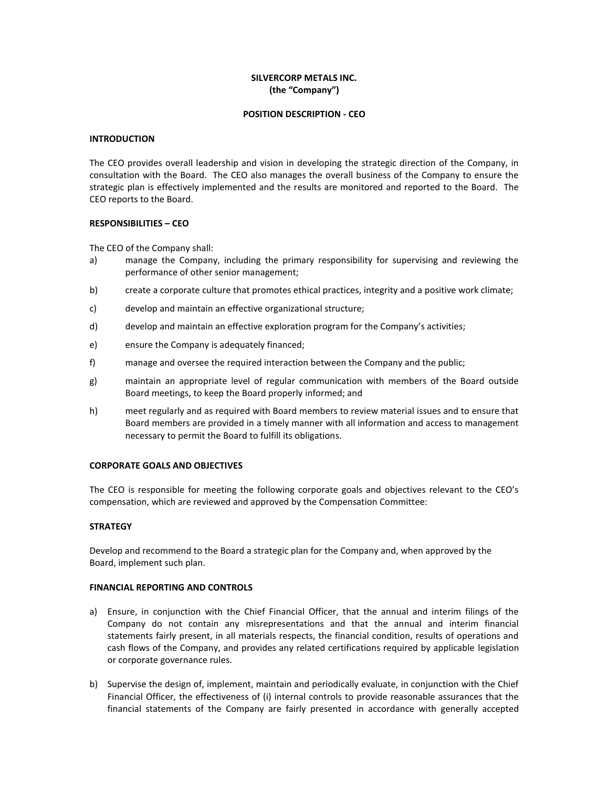# **SILVERCORP METALS INC. (the "Company")**

## **POSITION DESCRIPTION - CEO**

## **INTRODUCTION**

The CEO provides overall leadership and vision in developing the strategic direction of the Company, in consultation with the Board. The CEO also manages the overall business of the Company to ensure the strategic plan is effectively implemented and the results are monitored and reported to the Board. The CEO reports to the Board.

## **RESPONSIBILITIES – CEO**

The CEO of the Company shall:

- a) manage the Company, including the primary responsibility for supervising and reviewing the performance of other senior management;
- b) create a corporate culture that promotes ethical practices, integrity and a positive work climate;
- c) develop and maintain an effective organizational structure;
- d) develop and maintain an effective exploration program for the Company's activities;
- e) ensure the Company is adequately financed;
- f) manage and oversee the required interaction between the Company and the public;
- g) maintain an appropriate level of regular communication with members of the Board outside Board meetings, to keep the Board properly informed; and
- h) meet regularly and as required with Board members to review material issues and to ensure that Board members are provided in a timely manner with all information and access to management necessary to permit the Board to fulfill its obligations.

## **CORPORATE GOALS AND OBJECTIVES**

The CEO is responsible for meeting the following corporate goals and objectives relevant to the CEO's compensation, which are reviewed and approved by the Compensation Committee:

# **STRATEGY**

Develop and recommend to the Board a strategic plan for the Company and, when approved by the Board, implement such plan.

## **FINANCIAL REPORTING AND CONTROLS**

- a) Ensure, in conjunction with the Chief Financial Officer, that the annual and interim filings of the Company do not contain any misrepresentations and that the annual and interim financial statements fairly present, in all materials respects, the financial condition, results of operations and cash flows of the Company, and provides any related certifications required by applicable legislation or corporate governance rules.
- b) Supervise the design of, implement, maintain and periodically evaluate, in conjunction with the Chief Financial Officer, the effectiveness of (i) internal controls to provide reasonable assurances that the financial statements of the Company are fairly presented in accordance with generally accepted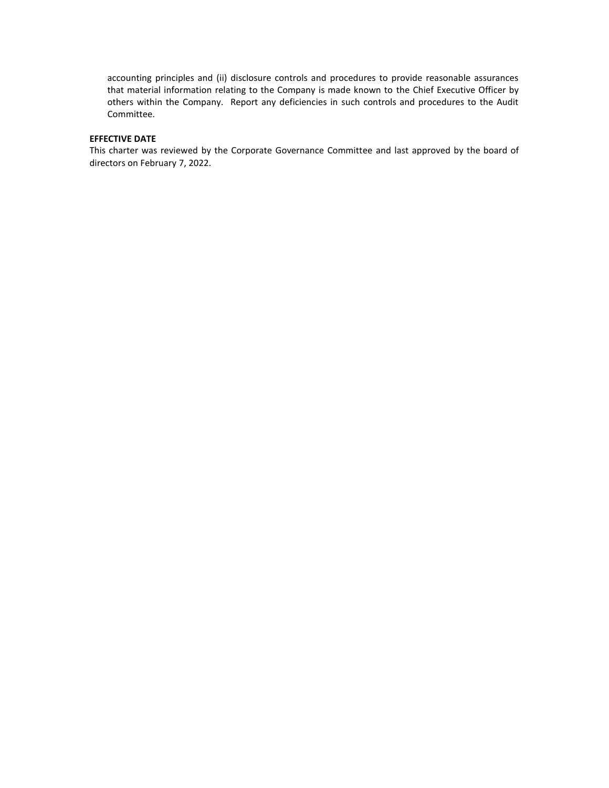accounting principles and (ii) disclosure controls and procedures to provide reasonable assurances that material information relating to the Company is made known to the Chief Executive Officer by others within the Company. Report any deficiencies in such controls and procedures to the Audit Committee.

# **EFFECTIVE DATE**

This charter was reviewed by the Corporate Governance Committee and last approved by the board of directors on February 7, 2022.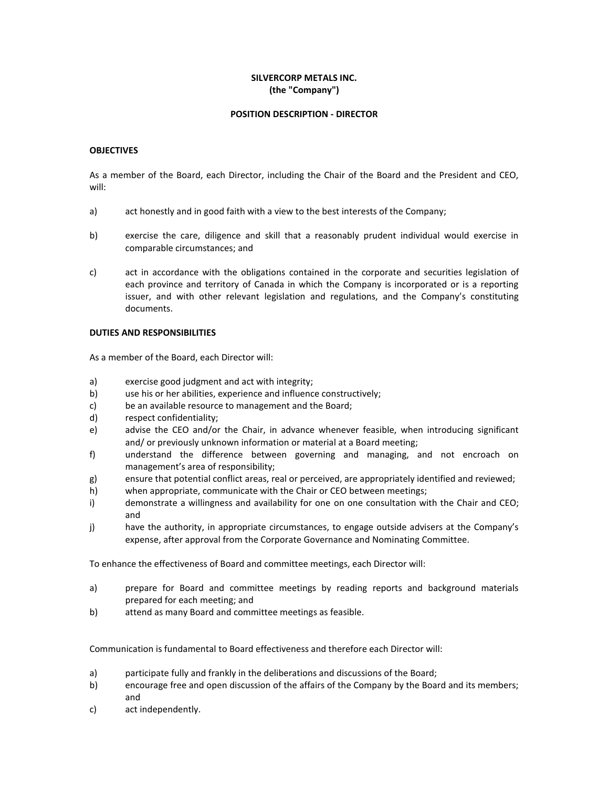# **SILVERCORP METALS INC. (the "Company")**

## **POSITION DESCRIPTION - DIRECTOR**

## **OBJECTIVES**

As a member of the Board, each Director, including the Chair of the Board and the President and CEO, will:

- a) act honestly and in good faith with a view to the best interests of the Company;
- b) exercise the care, diligence and skill that a reasonably prudent individual would exercise in comparable circumstances; and
- c) act in accordance with the obligations contained in the corporate and securities legislation of each province and territory of Canada in which the Company is incorporated or is a reporting issuer, and with other relevant legislation and regulations, and the Company's constituting documents.

## **DUTIES AND RESPONSIBILITIES**

As a member of the Board, each Director will:

- a) exercise good judgment and act with integrity;
- b) use his or her abilities, experience and influence constructively;
- c) be an available resource to management and the Board;
- d) respect confidentiality;
- e) advise the CEO and/or the Chair, in advance whenever feasible, when introducing significant and/ or previously unknown information or material at a Board meeting;
- f) understand the difference between governing and managing, and not encroach on management's area of responsibility;
- g) ensure that potential conflict areas, real or perceived, are appropriately identified and reviewed;
- h) when appropriate, communicate with the Chair or CEO between meetings;
- i) demonstrate a willingness and availability for one on one consultation with the Chair and CEO; and
- j) have the authority, in appropriate circumstances, to engage outside advisers at the Company's expense, after approval from the Corporate Governance and Nominating Committee.

To enhance the effectiveness of Board and committee meetings, each Director will:

- a) prepare for Board and committee meetings by reading reports and background materials prepared for each meeting; and
- b) attend as many Board and committee meetings as feasible.

Communication is fundamental to Board effectiveness and therefore each Director will:

- a) participate fully and frankly in the deliberations and discussions of the Board;
- b) encourage free and open discussion of the affairs of the Company by the Board and its members; and
- c) act independently.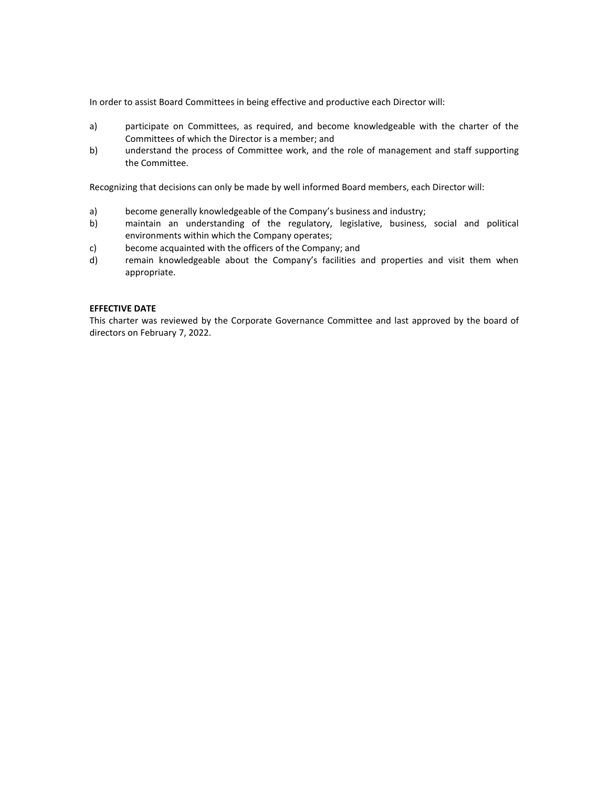In order to assist Board Committees in being effective and productive each Director will:

- a) participate on Committees, as required, and become knowledgeable with the charter of the Committees of which the Director is a member; and
- b) understand the process of Committee work, and the role of management and staff supporting the Committee.

Recognizing that decisions can only be made by well informed Board members, each Director will:

- a) become generally knowledgeable of the Company's business and industry;
- b) maintain an understanding of the regulatory, legislative, business, social and political environments within which the Company operates;
- c) become acquainted with the officers of the Company; and
- d) remain knowledgeable about the Company's facilities and properties and visit them when appropriate.

## **EFFECTIVE DATE**

This charter was reviewed by the Corporate Governance Committee and last approved by the board of directors on February 7, 2022.